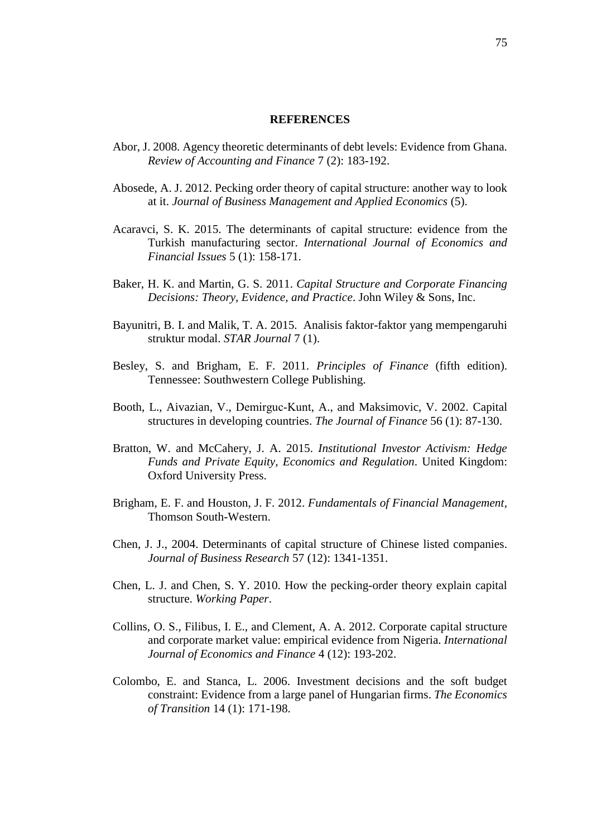## **REFERENCES**

- Abor, J. 2008. Agency theoretic determinants of debt levels: Evidence from Ghana. *Review of Accounting and Finance* 7 (2): 183-192.
- Abosede, A. J. 2012. Pecking order theory of capital structure: another way to look at it. *Journal of Business Management and Applied Economics* (5).
- Acaravci, S. K. 2015. The determinants of capital structure: evidence from the Turkish manufacturing sector. *International Journal of Economics and Financial Issues* 5 (1): 158-171.
- Baker, H. K. and Martin, G. S. 2011. *Capital Structure and Corporate Financing Decisions: Theory, Evidence, and Practice*. John Wiley & Sons, Inc.
- Bayunitri, B. I. and Malik, T. A. 2015. Analisis faktor-faktor yang mempengaruhi struktur modal. *STAR Journal* 7 (1).
- Besley, S. and Brigham, E. F. 2011. *Principles of Finance* (fifth edition). Tennessee: Southwestern College Publishing.
- Booth, L., Aivazian, V., Demirguc‐Kunt, A., and Maksimovic, V. 2002. Capital structures in developing countries. *The Journal of Finance* 56 (1): 87-130.
- Bratton, W. and McCahery, J. A. 2015. *Institutional Investor Activism: Hedge Funds and Private Equity, Economics and Regulation*. United Kingdom: Oxford University Press.
- Brigham, E. F. and Houston, J. F. 2012. *Fundamentals of Financial Management,*  Thomson South-Western.
- Chen, J. J., 2004. Determinants of capital structure of Chinese listed companies. *Journal of Business Research* 57 (12): 1341-1351.
- Chen, L. J. and Chen, S. Y. 2010. How the pecking-order theory explain capital structure. *Working Paper*.
- Collins, O. S., Filibus, I. E., and Clement, A. A. 2012. Corporate capital structure and corporate market value: empirical evidence from Nigeria. *International Journal of Economics and Finance* 4 (12): 193-202.
- Colombo, E. and Stanca, L. 2006. Investment decisions and the soft budget constraint: Evidence from a large panel of Hungarian firms. *The Economics of Transition* 14 (1): 171-198.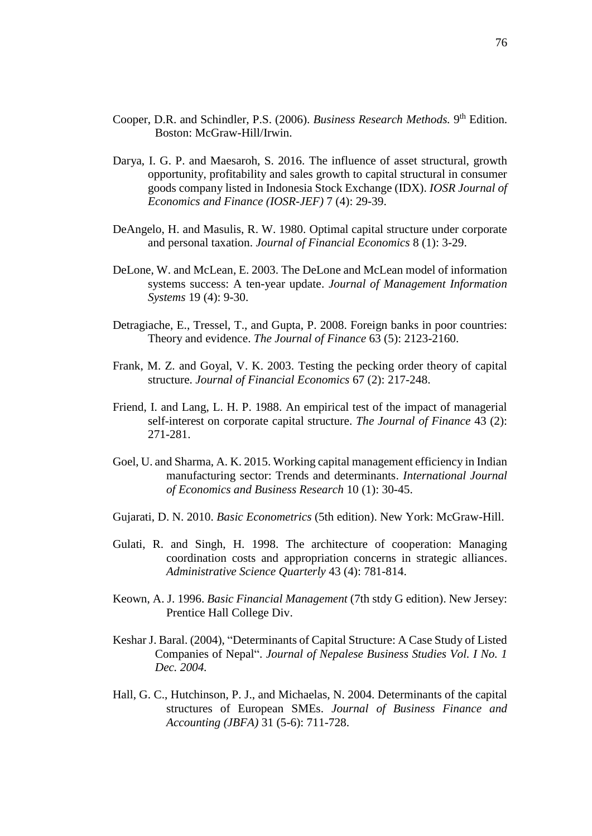- Cooper, D.R. and Schindler, P.S. (2006). *Business Research Methods*. 9<sup>th</sup> Edition. Boston: McGraw-Hill/Irwin.
- Darya, I. G. P. and Maesaroh, S. 2016. The influence of asset structural, growth opportunity, profitability and sales growth to capital structural in consumer goods company listed in Indonesia Stock Exchange (IDX). *IOSR Journal of Economics and Finance (IOSR-JEF)* 7 (4): 29-39.
- DeAngelo, H. and Masulis, R. W. 1980. Optimal capital structure under corporate and personal taxation. *Journal of Financial Economics* 8 (1): 3-29.
- DeLone, W. and McLean, E. 2003. The DeLone and McLean model of information systems success: A ten-year update. *Journal of Management Information Systems* 19 (4): 9-30.
- Detragiache, E., Tressel, T., and Gupta, P. 2008. Foreign banks in poor countries: Theory and evidence. *The Journal of Finance* 63 (5): 2123-2160.
- Frank, M. Z. and Goyal, V. K. 2003. Testing the pecking order theory of capital structure. *Journal of Financial Economics* 67 (2): 217-248.
- Friend, I. and Lang, L. H. P. 1988. An empirical test of the impact of managerial self-interest on corporate capital structure. *The Journal of Finance* 43 (2): 271-281.
- Goel, U. and Sharma, A. K. 2015. Working capital management efficiency in Indian manufacturing sector: Trends and determinants. *International Journal of Economics and Business Research* 10 (1): 30-45.
- Gujarati, D. N. 2010. *Basic Econometrics* (5th edition). New York: McGraw-Hill.
- Gulati, R. and Singh, H. 1998. The architecture of cooperation: Managing coordination costs and appropriation concerns in strategic alliances. *Administrative Science Quarterly* 43 (4): 781-814.
- Keown, A. J. 1996. *Basic Financial Management* (7th stdy G edition). New Jersey: Prentice Hall College Div.
- Keshar J. Baral. (2004), "Determinants of Capital Structure: A Case Study of Listed Companies of Nepal". *Journal of Nepalese Business Studies Vol. I No. 1 Dec. 2004.*
- Hall, G. C., Hutchinson, P. J., and Michaelas, N. 2004. Determinants of the capital structures of European SMEs. *Journal of Business Finance and Accounting (JBFA)* 31 (5-6): 711-728.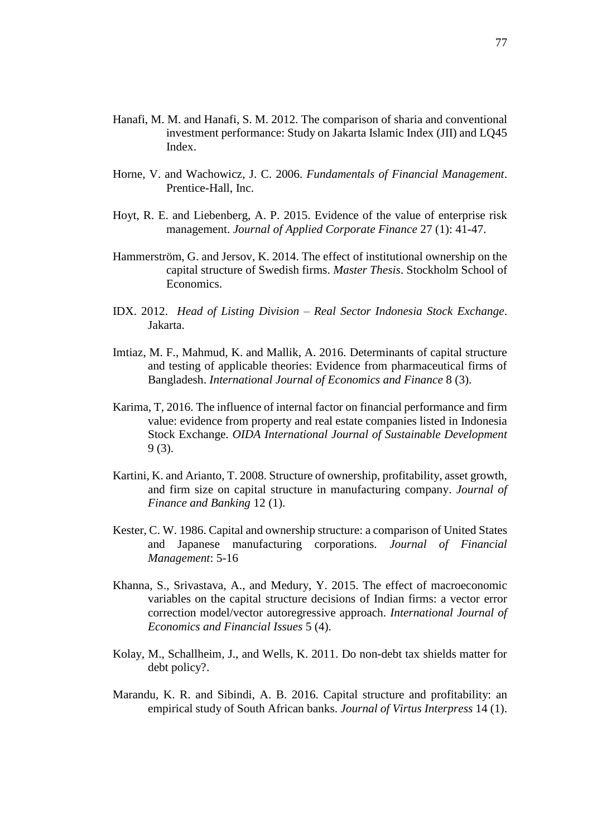- Hanafi, M. M. and Hanafi, S. M. 2012. The comparison of sharia and conventional investment performance: Study on Jakarta Islamic Index (JII) and LQ45 Index.
- Horne, V. and Wachowicz, J. C. 2006. *Fundamentals of Financial Management*. Prentice-Hall, Inc.
- Hoyt, R. E. and Liebenberg, A. P. 2015. Evidence of the value of enterprise risk management. *Journal of Applied Corporate Finance* 27 (1): 41-47.
- Hammerström, G. and Jersov, K. 2014. The effect of institutional ownership on the capital structure of Swedish firms. *Master Thesis*. Stockholm School of Economics.
- IDX. 2012. *Head of Listing Division – Real Sector Indonesia Stock Exchange*. Jakarta.
- Imtiaz, M. F., Mahmud, K. and Mallik, A. 2016. Determinants of capital structure and testing of applicable theories: Evidence from pharmaceutical firms of Bangladesh. *International Journal of Economics and Finance* 8 (3).
- Karima, T, 2016. The influence of internal factor on financial performance and firm value: evidence from property and real estate companies listed in Indonesia Stock Exchange. *OIDA International Journal of Sustainable Development* 9 (3).
- Kartini, K. and Arianto, T. 2008. Structure of ownership, profitability, asset growth, and firm size on capital structure in manufacturing company. *Journal of Finance and Banking* 12 (1).
- Kester, C. W. 1986. Capital and ownership structure: a comparison of United States and Japanese manufacturing corporations. *Journal of Financial Management*: 5-16
- Khanna, S., Srivastava, A., and Medury, Y. 2015. The effect of macroeconomic variables on the capital structure decisions of Indian firms: a vector error correction model/vector autoregressive approach. *International Journal of Economics and Financial Issues* 5 (4).
- Kolay, M., Schallheim, J., and Wells, K. 2011. Do non-debt tax shields matter for debt policy?.
- Marandu, K. R. and Sibindi, A. B. 2016. Capital structure and profitability: an empirical study of South African banks. *Journal of Virtus Interpress* 14 (1).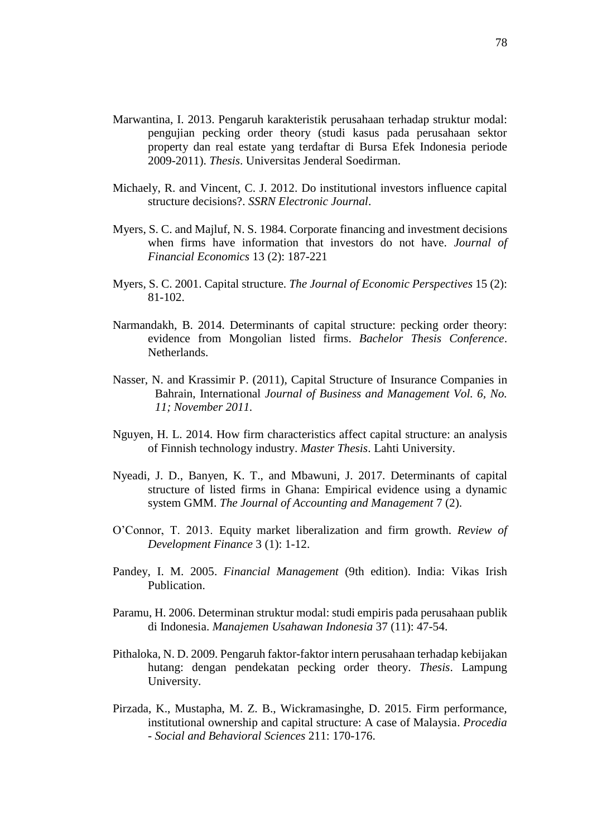- Marwantina, I. 2013. Pengaruh karakteristik perusahaan terhadap struktur modal: pengujian pecking order theory (studi kasus pada perusahaan sektor property dan real estate yang terdaftar di Bursa Efek Indonesia periode 2009-2011). *Thesis*. Universitas Jenderal Soedirman.
- Michaely, R. and Vincent, C. J. 2012. Do institutional investors influence capital structure decisions?. *SSRN Electronic Journal*.
- Myers, S. C. and Majluf, N. S. 1984. Corporate financing and investment decisions when firms have information that investors do not have. *Journal of Financial Economics* 13 (2): 187-221
- Myers, S. C. 2001. Capital structure. *The Journal of Economic Perspectives* 15 (2): 81-102.
- Narmandakh, B. 2014. Determinants of capital structure: pecking order theory: evidence from Mongolian listed firms. *Bachelor Thesis Conference*. Netherlands.
- Nasser, N. and Krassimir P. (2011), Capital Structure of Insurance Companies in Bahrain, International *Journal of Business and Management Vol. 6, No. 11; November 2011.*
- Nguyen, H. L. 2014. How firm characteristics affect capital structure: an analysis of Finnish technology industry. *Master Thesis*. Lahti University.
- Nyeadi, J. D., Banyen, K. T., and Mbawuni, J. 2017. Determinants of capital structure of listed firms in Ghana: Empirical evidence using a dynamic system GMM. *The Journal of Accounting and Management* 7 (2).
- O'Connor, T. 2013. Equity market liberalization and firm growth. *Review of Development Finance* 3 (1): 1-12.
- Pandey, I. M. 2005. *Financial Management* (9th edition). India: Vikas Irish Publication.
- Paramu, H. 2006. Determinan struktur modal: studi empiris pada perusahaan publik di Indonesia. *Manajemen Usahawan Indonesia* 37 (11): 47-54.
- Pithaloka, N. D. 2009. Pengaruh faktor-faktor intern perusahaan terhadap kebijakan hutang: dengan pendekatan pecking order theory. *Thesis*. Lampung University.
- Pirzada, K., Mustapha, M. Z. B., Wickramasinghe, D. 2015. Firm performance, institutional ownership and capital structure: A case of Malaysia. *Procedia - Social and Behavioral Sciences* 211: 170-176.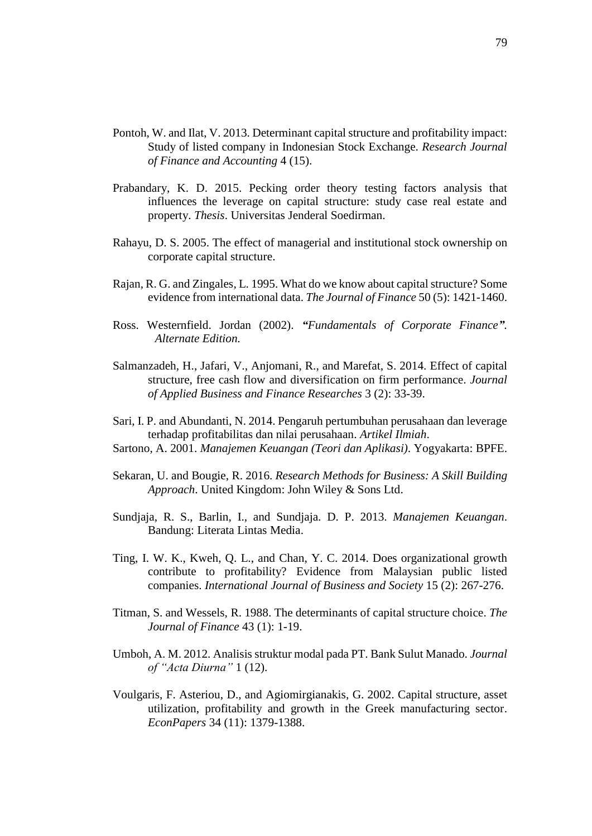- Pontoh, W. and Ilat, V. 2013. Determinant capital structure and profitability impact: Study of listed company in Indonesian Stock Exchange. *Research Journal of Finance and Accounting* 4 (15).
- Prabandary, K. D. 2015. Pecking order theory testing factors analysis that influences the leverage on capital structure: study case real estate and property. *Thesis*. Universitas Jenderal Soedirman.
- Rahayu, D. S. 2005. The effect of managerial and institutional stock ownership on corporate capital structure.
- Rajan, R. G. and Zingales, L. 1995. What do we know about capital structure? Some evidence from international data. *The Journal of Finance* 50 (5): 1421-1460.
- Ross. Westernfield. Jordan (2002). *"Fundamentals of Corporate Finance". Alternate Edition.*
- Salmanzadeh, H., Jafari, V., Anjomani, R., and Marefat, S. 2014. Effect of capital structure, free cash flow and diversification on firm performance. *Journal of Applied Business and Finance Researches* 3 (2): 33-39.
- Sari, I. P. and Abundanti, N. 2014. Pengaruh pertumbuhan perusahaan dan leverage terhadap profitabilitas dan nilai perusahaan. *Artikel Ilmiah*.
- Sartono, A. 2001. *Manajemen Keuangan (Teori dan Aplikasi)*. Yogyakarta: BPFE.
- Sekaran, U. and Bougie, R. 2016. *Research Methods for Business: A Skill Building Approach*. United Kingdom: John Wiley & Sons Ltd.
- Sundjaja, R. S., Barlin, I., and Sundjaja. D. P. 2013. *Manajemen Keuangan*. Bandung: Literata Lintas Media.
- Ting, I. W. K., Kweh, Q. L., and Chan, Y. C. 2014. Does organizational growth contribute to profitability? Evidence from Malaysian public listed companies. *International Journal of Business and Society* 15 (2): 267-276.
- Titman, S. and Wessels, R. 1988. The determinants of capital structure choice. *The Journal of Finance* 43 (1): 1-19.
- Umboh, A. M. 2012. Analisis struktur modal pada PT. Bank Sulut Manado. *Journal of "Acta Diurna"* 1 (12).
- Voulgaris, F. Asteriou, D., and Agiomirgianakis, G. 2002. Capital structure, asset utilization, profitability and growth in the Greek manufacturing sector. *EconPapers* 34 (11): 1379-1388.